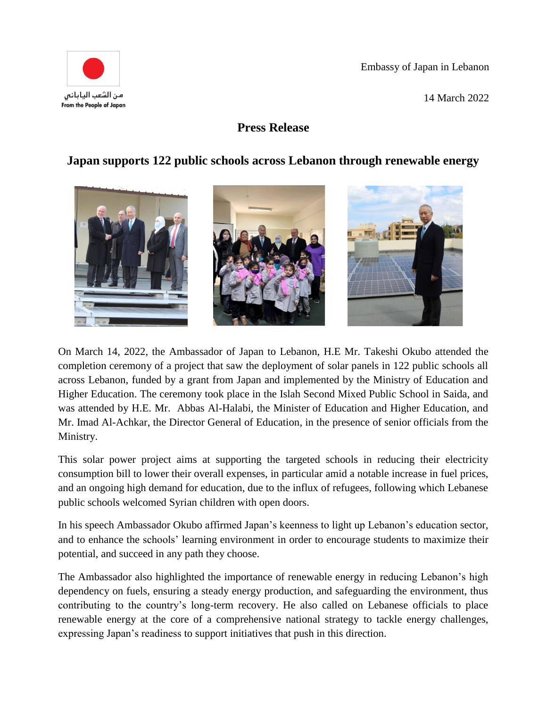

14 March 2022



## **Press Release**

## **Japan supports 122 public schools across Lebanon through renewable energy**



On March 14, 2022, the Ambassador of Japan to Lebanon, H.E Mr. Takeshi Okubo attended the completion ceremony of a project that saw the deployment of solar panels in 122 public schools all across Lebanon, funded by a grant from Japan and implemented by the Ministry of Education and Higher Education. The ceremony took place in the Islah Second Mixed Public School in Saida, and was attended by H.E. Mr. Abbas Al-Halabi, the Minister of Education and Higher Education, and Mr. Imad Al-Achkar, the Director General of Education, in the presence of senior officials from the Ministry.

This solar power project aims at supporting the targeted schools in reducing their electricity consumption bill to lower their overall expenses, in particular amid a notable increase in fuel prices, and an ongoing high demand for education, due to the influx of refugees, following which Lebanese public schools welcomed Syrian children with open doors.

In his speech Ambassador Okubo affirmed Japan's keenness to light up Lebanon's education sector, and to enhance the schools' learning environment in order to encourage students to maximize their potential, and succeed in any path they choose.

The Ambassador also highlighted the importance of renewable energy in reducing Lebanon's high dependency on fuels, ensuring a steady energy production, and safeguarding the environment, thus contributing to the country's long-term recovery. He also called on Lebanese officials to place renewable energy at the core of a comprehensive national strategy to tackle energy challenges, expressing Japan's readiness to support initiatives that push in this direction.